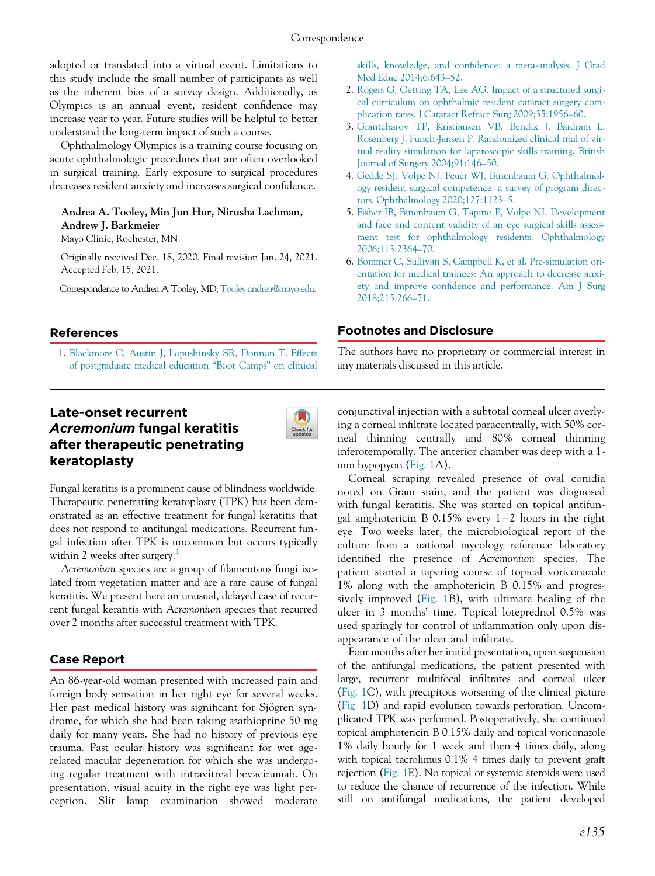adopted or translated into a virtual event. Limitations to this study include the small number of participants as well as the inherent bias of a survey design. Additionally, as Olympics is an annual event, resident confidence may increase year to year. Future studies will be helpful to better understand the long-term impact of such a course.

Ophthalmology Olympics is a training course focusing on acute ophthalmologic procedures that are often overlooked in surgical training. Early exposure to surgical procedures decreases resident anxiety and increases surgical confidence.

#### Andrea A. Tooley, Min Jun Hur, Nirusha Lachman, Andrew J. Barkmeier

Mayo Clinic, Rochester, MN.

Originally received Dec. 18, 2020. Final revision Jan. 24, 2021. Accepted Feb. 15, 2021.

Correspondence to Andrea A Tooley, MD; [Tooley.andrea@mayo.edu](mailto:Tooley.andrea@mayo.edu).

skills, knowledge, and confi[dence: a meta-analysis. J Grad](http://refhub.elsevier.com/S0008-4182(21)00020-X/sbref0001_2094) [Med Educ 2014;6:643](http://refhub.elsevier.com/S0008-4182(21)00020-X/sbref0001_2094)–52.

- 2. [Rogers G, Oetting TA, Lee AG. Impact of a structured surgi](http://refhub.elsevier.com/S0008-4182(21)00020-X/sbref0002_2094)[cal curriculum on ophthalmic resident cataract surgery com](http://refhub.elsevier.com/S0008-4182(21)00020-X/sbref0002_2094)[plication rates. J Cataract Refract Surg 2009;35:1956](http://refhub.elsevier.com/S0008-4182(21)00020-X/sbref0002_2094)–60.
- 3. [Grantcharov TP, Kristiansen VB, Bendix J, Bardram L,](http://refhub.elsevier.com/S0008-4182(21)00020-X/sbref0003_2094) [Rosenberg J, Funch-Jensen P. Randomized clinical trial of vir](http://refhub.elsevier.com/S0008-4182(21)00020-X/sbref0003_2094)[tual reality simulation for laparoscopic skills training. British](http://refhub.elsevier.com/S0008-4182(21)00020-X/sbref0003_2094) [Journal of Surgery 2004;91:146](http://refhub.elsevier.com/S0008-4182(21)00020-X/sbref0003_2094)–50.
- 4. [Gedde SJ, Volpe NJ, Feuer WJ, Binenbaum G. Ophthalmol](http://refhub.elsevier.com/S0008-4182(21)00020-X/sbref0004_2094)[ogy resident surgical competence: a survey of program direc](http://refhub.elsevier.com/S0008-4182(21)00020-X/sbref0004_2094)[tors. Ophthalmology 2020;127:1123](http://refhub.elsevier.com/S0008-4182(21)00020-X/sbref0004_2094)–5.
- 5. [Fisher JB, Binenbaum G, Tapino P, Volpe NJ. Development](http://refhub.elsevier.com/S0008-4182(21)00020-X/sbref0005_2094) [and face and content validity of an eye surgical skills assess](http://refhub.elsevier.com/S0008-4182(21)00020-X/sbref0005_2094)[ment test for ophthalmology residents. Ophthalmology](http://refhub.elsevier.com/S0008-4182(21)00020-X/sbref0005_2094) [2006;113:2364](http://refhub.elsevier.com/S0008-4182(21)00020-X/sbref0005_2094)–70.
- 6. [Bommer C, Sullivan S, Campbell K, et al. Pre-simulation ori](http://refhub.elsevier.com/S0008-4182(21)00020-X/sbref0006_2094)[entation for medical trainees: An approach to decrease anxi](http://refhub.elsevier.com/S0008-4182(21)00020-X/sbref0006_2094)ety and improve confi[dence and performance. Am J Surg](http://refhub.elsevier.com/S0008-4182(21)00020-X/sbref0006_2094) [2018;215:266](http://refhub.elsevier.com/S0008-4182(21)00020-X/sbref0006_2094)–71.

## References

1. [Blackmore C, Austin J, Lopushinsky SR, Donnon T. Effects](http://refhub.elsevier.com/S0008-4182(21)00020-X/sbref0001_2094) [of postgraduate medical education](http://refhub.elsevier.com/S0008-4182(21)00020-X/sbref0001_2094) "Boot Camps" on clinical

## Footnotes and Disclosure

The authors have no proprietary or commercial interest in any materials discussed in this article.

# Late-onset recurrent Acremonium fungal keratitis after therapeutic penetrating keratoplasty



Fungal keratitis is a prominent cause of blindness worldwide. Therapeutic penetrating keratoplasty (TPK) has been demonstrated as an effective treatment for fungal keratitis that does not respond to antifungal medications. Recurrent fungal infection after TPK is uncommon but occurs typically within 2 weeks after surgery.<sup>[1](#page-2-0)</sup>

Acremonium species are a group of filamentous fungi isolated from vegetation matter and are a rare cause of fungal keratitis. We present here an unusual, delayed case of recurrent fungal keratitis with Acremonium species that recurred over 2 months after successful treatment with TPK.

# Case Report

An 86-year-old woman presented with increased pain and foreign body sensation in her right eye for several weeks. Her past medical history was significant for Sjögren syndrome, for which she had been taking azathioprine 50 mg daily for many years. She had no history of previous eye trauma. Past ocular history was significant for wet agerelated macular degeneration for which she was undergoing regular treatment with intravitreal bevacizumab. On presentation, visual acuity in the right eye was light perception. Slit lamp examination showed moderate conjunctival injection with a subtotal corneal ulcer overlying a corneal infiltrate located paracentrally, with 50% corneal thinning centrally and 80% corneal thinning inferotemporally. The anterior chamber was deep with a 1 mm hypopyon [\(Fig. 1A](#page-1-0)).

Corneal scraping revealed presence of oval conidia noted on Gram stain, and the patient was diagnosed with fungal keratitis. She was started on topical antifungal amphotericin B 0.15% every  $1-2$  hours in the right eye. Two weeks later, the microbiological report of the culture from a national mycology reference laboratory identified the presence of Acremonium species. The patient started a tapering course of topical voriconazole 1% along with the amphotericin B 0.15% and progressively improved [\(Fig. 1B](#page-1-0)), with ultimate healing of the ulcer in 3 months' time. Topical loteprednol 0.5% was used sparingly for control of inflammation only upon disappearance of the ulcer and infiltrate.

Four months after her initial presentation, upon suspension of the antifungal medications, the patient presented with large, recurrent multifocal infiltrates and corneal ulcer [\(Fig. 1C](#page-1-0)), with precipitous worsening of the clinical picture [\(Fig. 1D](#page-1-0)) and rapid evolution towards perforation. Uncomplicated TPK was performed. Postoperatively, she continued topical amphotericin B 0.15% daily and topical voriconazole 1% daily hourly for 1 week and then 4 times daily, along with topical tacrolimus 0.1% 4 times daily to prevent graft rejection ([Fig. 1E](#page-1-0)). No topical or systemic steroids were used to reduce the chance of recurrence of the infection. While still on antifungal medications, the patient developed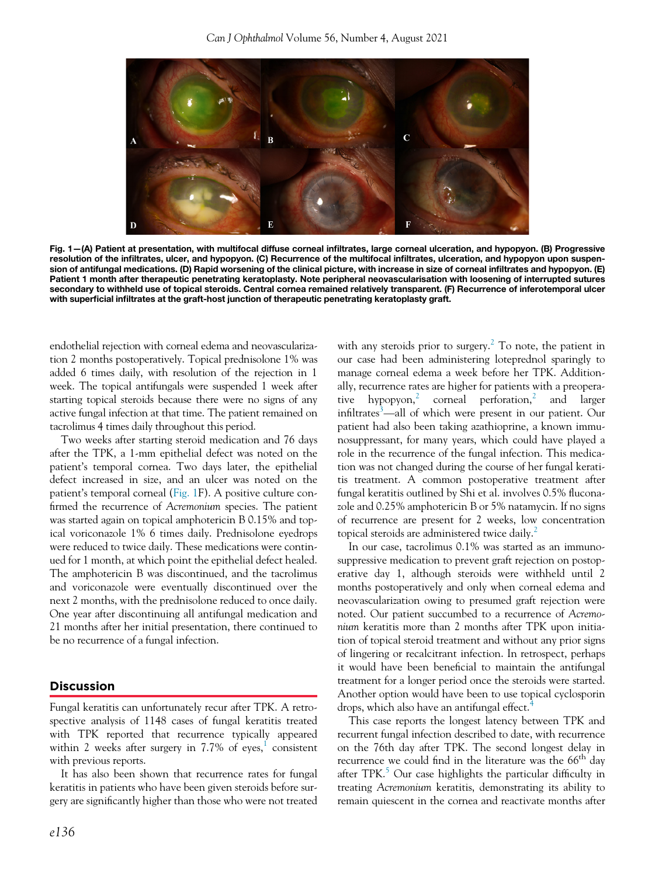<span id="page-1-0"></span>

Fig. 1—(A) Patient at presentation, with multifocal diffuse corneal infiltrates, large corneal ulceration, and hypopyon. (B) Progressive resolution of the infiltrates, ulcer, and hypopyon. (C) Recurrence of the multifocal infiltrates, ulceration, and hypopyon upon suspension of antifungal medications. (D) Rapid worsening of the clinical picture, with increase in size of corneal infiltrates and hypopyon. (E) Patient 1 month after therapeutic penetrating keratoplasty. Note peripheral neovascularisation with loosening of interrupted sutures secondary to withheld use of topical steroids. Central cornea remained relatively transparent. (F) Recurrence of inferotemporal ulcer with superficial infiltrates at the graft-host junction of therapeutic penetrating keratoplasty graft.

endothelial rejection with corneal edema and neovascularization 2 months postoperatively. Topical prednisolone 1% was added 6 times daily, with resolution of the rejection in 1 week. The topical antifungals were suspended 1 week after starting topical steroids because there were no signs of any active fungal infection at that time. The patient remained on tacrolimus 4 times daily throughout this period.

Two weeks after starting steroid medication and 76 days after the TPK, a 1-mm epithelial defect was noted on the patient's temporal cornea. Two days later, the epithelial defect increased in size, and an ulcer was noted on the patient's temporal corneal ([Fig. 1](#page-1-0)F). A positive culture confirmed the recurrence of Acremonium species. The patient was started again on topical amphotericin B 0.15% and topical voriconazole 1% 6 times daily. Prednisolone eyedrops were reduced to twice daily. These medications were continued for 1 month, at which point the epithelial defect healed. The amphotericin B was discontinued, and the tacrolimus and voriconazole were eventually discontinued over the next 2 months, with the prednisolone reduced to once daily. One year after discontinuing all antifungal medication and 21 months after her initial presentation, there continued to be no recurrence of a fungal infection.

## **Discussion**

Fungal keratitis can unfortunately recur after TPK. A retrospective analysis of 1148 cases of fungal keratitis treated with TPK reported that recurrence typically appeared within 2 weeks after surgery in  $7.7\%$  of eyes,<sup>[1](#page-2-0)</sup> consistent with previous reports.

It has also been shown that recurrence rates for fungal keratitis in patients who have been given steroids before surgery are significantly higher than those who were not treated with any steroids prior to surgery. $^2$  $^2$  To note, the patient in our case had been administering loteprednol sparingly to manage corneal edema a week before her TPK. Additionally, recurrence rates are higher for patients with a preopera-tive hypopyon,<sup>[2](#page-2-1)</sup> corneal perforation,<sup>2</sup> and larger infiltrates<sup>[3](#page-2-2)</sup>—all of which were present in our patient. Our patient had also been taking azathioprine, a known immunosuppressant, for many years, which could have played a role in the recurrence of the fungal infection. This medication was not changed during the course of her fungal keratitis treatment. A common postoperative treatment after fungal keratitis outlined by Shi et al. involves 0.5% fluconazole and 0.25% amphotericin B or 5% natamycin. If no signs of recurrence are present for 2 weeks, low concentration topical steroids are administered twice daily.<sup>[2](#page-2-1)</sup>

In our case, tacrolimus 0.1% was started as an immunosuppressive medication to prevent graft rejection on postoperative day 1, although steroids were withheld until 2 months postoperatively and only when corneal edema and neovascularization owing to presumed graft rejection were noted. Our patient succumbed to a recurrence of Acremonium keratitis more than 2 months after TPK upon initiation of topical steroid treatment and without any prior signs of lingering or recalcitrant infection. In retrospect, perhaps it would have been beneficial to maintain the antifungal treatment for a longer period once the steroids were started. Another option would have been to use topical cyclosporin drops, which also have an antifungal effect.<sup>[4](#page-2-3)</sup>

This case reports the longest latency between TPK and recurrent fungal infection described to date, with recurrence on the 76th day after TPK. The second longest delay in recurrence we could find in the literature was the  $66<sup>th</sup>$  day after TPK.<sup>5</sup> Our case highlights the particular difficulty in treating Acremonium keratitis, demonstrating its ability to remain quiescent in the cornea and reactivate months after